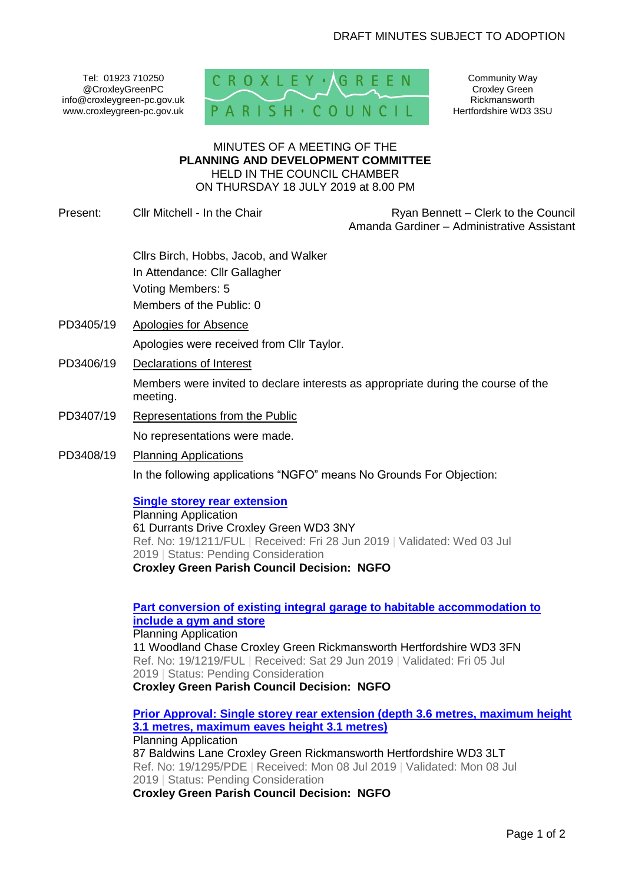Tel: 01923 710250 @CroxleyGreenPC info@croxleygreen-pc.gov.uk www.croxleygreen-pc.gov.uk



Community Way Croxley Green Rickmansworth Hertfordshire WD3 3SU

#### MINUTES OF A MEETING OF THE **PLANNING AND DEVELOPMENT COMMITTEE** HELD IN THE COUNCIL CHAMBER ON THURSDAY 18 JULY 2019 at 8.00 PM

Present: Cllr Mitchell - In the Chair Ryan Bennett – Clerk to the Council

Amanda Gardiner – Administrative Assistant

Cllrs Birch, Hobbs, Jacob, and Walker In Attendance: Cllr Gallagher Voting Members: 5 Members of the Public: 0

- PD3405/19 Apologies for Absence Apologies were received from Cllr Taylor.
- PD3406/19 Declarations of Interest

Members were invited to declare interests as appropriate during the course of the meeting.

- PD3407/19 Representations from the Public No representations were made.
- PD3408/19 Planning Applications In the following applications "NGFO" means No Grounds For Objection:

# **[Single storey rear extension](https://www3.threerivers.gov.uk/online-applications/applicationDetails.do?activeTab=summary&keyVal=PTSRITQFFVM00&prevPage=inTray)**

Planning Application 61 Durrants Drive Croxley Green WD3 3NY Ref. No: 19/1211/FUL | Received: Fri 28 Jun 2019 | Validated: Wed 03 Jul 2019 | Status: Pending Consideration **Croxley Green Parish Council Decision: NGFO**

# **[Part conversion of existing integral garage to habitable accommodation to](https://www3.threerivers.gov.uk/online-applications/applicationDetails.do?activeTab=summary&keyVal=PTUM5PQFFW100&prevPage=inTray)  [include a gym and store](https://www3.threerivers.gov.uk/online-applications/applicationDetails.do?activeTab=summary&keyVal=PTUM5PQFFW100&prevPage=inTray)**

Planning Application 11 Woodland Chase Croxley Green Rickmansworth Hertfordshire WD3 3FN Ref. No: 19/1219/FUL | Received: Sat 29 Jun 2019 | Validated: Fri 05 Jul 2019 | Status: Pending Consideration **Croxley Green Parish Council Decision: NGFO**

**[Prior Approval: Single storey rear extension \(depth 3.6 metres, maximum height](https://www3.threerivers.gov.uk/online-applications/applicationDetails.do?activeTab=summary&keyVal=PUDDR7QF03N00&prevPage=inTray)  [3.1 metres, maximum eaves height 3.1 metres\)](https://www3.threerivers.gov.uk/online-applications/applicationDetails.do?activeTab=summary&keyVal=PUDDR7QF03N00&prevPage=inTray)** Planning Application 87 Baldwins Lane Croxley Green Rickmansworth Hertfordshire WD3 3LT Ref. No: 19/1295/PDE | Received: Mon 08 Jul 2019 | Validated: Mon 08 Jul 2019 | Status: Pending Consideration **Croxley Green Parish Council Decision: NGFO**